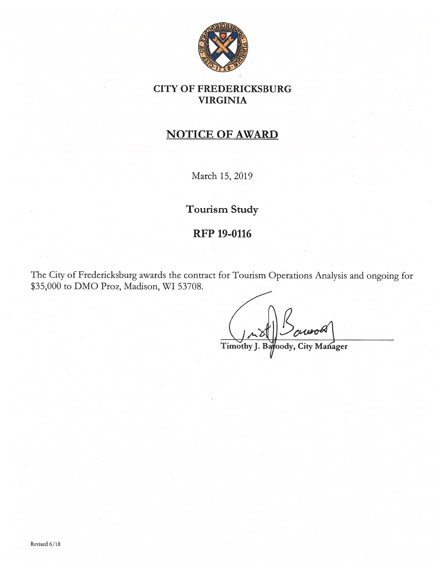

## CITY OF FREDERICKSBURG VIRGINIA

# NOTICE OF AWARD

March 15, 2019

Tourism Study

## RFP 19-0116

The City of Fredericksburg awards the contract for Tourism Operations Analysis and ongoing for \$35,000 to DM0 Proz, Madison, WI 53708.

Timothy J. oody, City Manager B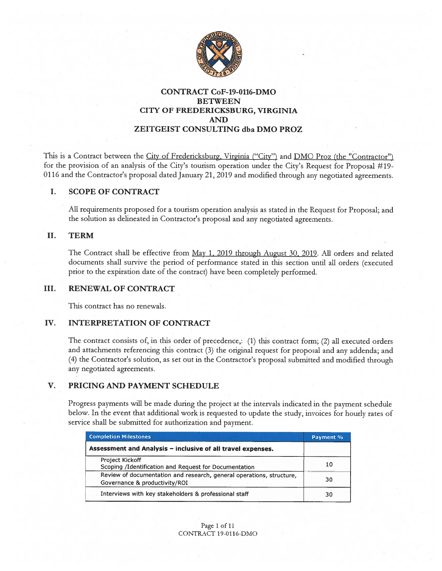

## CONTRACT CoF-19-0116-DMO BETWEEN CITY OF FREDERICKSBURG, VIRGINIA AND ZEITGEIST CONSULTING dba DM0 PROZ

This is a Contract between the City of Fredericksburg, Virginia ("City") and DMO Proz (the "Contractor") for the provision of an analysis of the City's tourism operation under the City's Request for Proposal #19- <sup>0116</sup> and the Contractor's proposa<sup>l</sup> dated January 21, <sup>2019</sup> and modified through any negotiated agreements.

## I. SCOPE OF CONTRACT

All requirements proposed for <sup>a</sup> tourism operation analysis as stated in the Request for Proposal; and the solution as delineated in Contractor's proposa<sup>l</sup> and any negotiated agreements.

### II. TERM

The Contract shall be effective from May 1, 2019 through August 30, 2019. All orders and related documents shall survive the period of performance stated in this section until all orders (executed prior to the expiration date of the contract) have been completely performed.

#### III. RENEWAL OF CONTRACT

This contract has no renewals.

## IV. INTERPRETATION OF CONTRACT

The contract consists of, in this order of precedence,: (1) this contract form; (2) all executed orders and attachments referencing this contract (3) the original reques<sup>t</sup> for proposa<sup>l</sup> and any addenda; and (4) the Contractor's solution, as set out in the Contractor's proposa<sup>l</sup> submitted and modified through any negotiated agreements.

## V. PRICING AND PAYMENT SCHEDULE

Progress payments will be made during the project at the intervals indicated in the paymen<sup>t</sup> schedule below. In the event that additional work is requested to update the study, invoices for hourly rates of service shall be submitted for authorization and payment.

| <b>Completion Milestones</b>                                                                          | Payment % |
|-------------------------------------------------------------------------------------------------------|-----------|
| Assessment and Analysis - inclusive of all travel expenses.                                           |           |
| Project Kickoff<br>Scoping /Identification and Request for Documentation                              | 10        |
| Review of documentation and research, general operations, structure,<br>Governance & productivity/ROI | 30        |
| Interviews with key stakeholders & professional staff                                                 | 30        |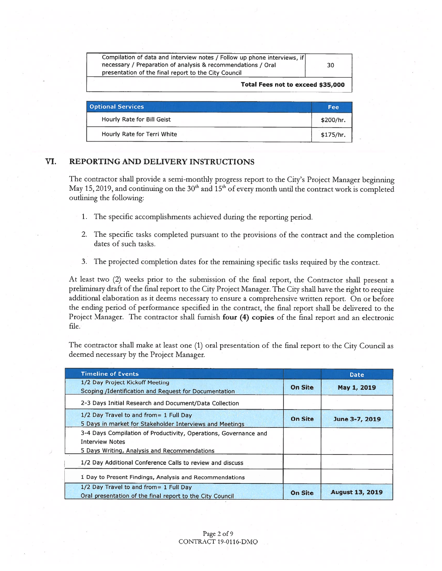| Total Fees not to exceed \$35,000                                        |    |
|--------------------------------------------------------------------------|----|
| presentation of the final report to the City Council                     |    |
| necessary / Preparation of analysis & recommendations / Oral             | 30 |
| Compilation of data and interview notes / Follow up phone interviews, if |    |
|                                                                          |    |

| <b>Optional Services</b>    | Fee       |
|-----------------------------|-----------|
| Hourly Rate for Bill Geist  | \$200/hr. |
| Hourly Rate for Terri White | \$175/hr. |

## VI. REPORTING AND DELIVERY INSTRUCTIONS

The contractor shall provide <sup>a</sup> semi-monthly progress repor<sup>t</sup> to the City's Project Manager beginning May 15, 2019, and continuing on the  $30<sup>th</sup>$  and  $15<sup>th</sup>$  of every month until the contract work is completed outlining the following:

- 1. The specific accomplishments achieved during the reporting period.
- 2. The specific tasks completed pursuan<sup>t</sup> to the provisions of the contract and the completion dates of such tasks.
- 3. The projected completion dates for the remaining specific tasks required by the contract.

At least two (2) weeks prior to the submission of the final report, the Contractor shall present a preliminary draft of the final repor<sup>t</sup> to the City Project Manager. The City shall have the right to require additional elaboration as it deems necessary to ensure <sup>a</sup> comprehensive written report. On or before the ending period of performance specified in the contract, the final repor<sup>t</sup> shall be delivered to the Project Manager. The contractor shall furnish four (4) copies of the final report and an electronic file.

The contractor shall make at least one (1) oral presentation of the final repor<sup>t</sup> to the City Council as deemed necessary by the Project Manager.

| <b>Timeline of Events</b>                                                                                                                  |                | Date                   |
|--------------------------------------------------------------------------------------------------------------------------------------------|----------------|------------------------|
| 1/2 Day Project Kickoff Meeting<br>Scoping /Identification and Request for Documentation                                                   | <b>On Site</b> | May 1, 2019            |
| 2-3 Days Initial Research and Document/Data Collection                                                                                     |                |                        |
| 1/2 Day Travel to and from = 1 Full Day<br>5 Days in market for Stakeholder Interviews and Meetings                                        | <b>On Site</b> | June 3-7, 2019         |
| 3-4 Days Compilation of Productivity, Operations, Governance and<br><b>Interview Notes</b><br>5 Days Writing, Analysis and Recommendations |                |                        |
| 1/2 Day Additional Conference Calls to review and discuss                                                                                  |                |                        |
| 1 Day to Present Findings, Analysis and Recommendations                                                                                    |                |                        |
| $1/2$ Day Travel to and from = 1 Full Day<br>Oral presentation of the final report to the City Council                                     | <b>On Site</b> | <b>August 13, 2019</b> |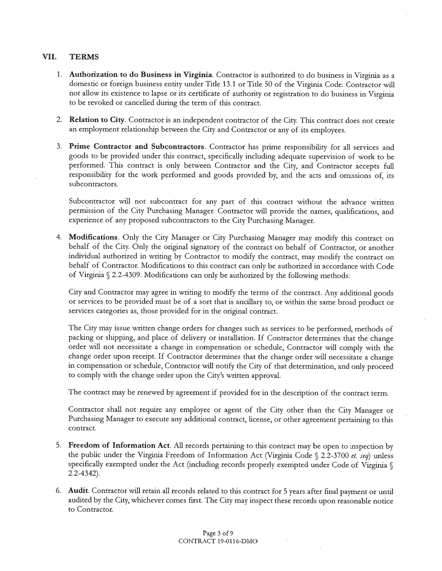### VII. TERMS

- 1. Authorization to do Business in Virginia. Contractor is authorized to do business in Virginia as <sup>a</sup> domestic or foreign business entity under Title 13.1 or Title <sup>50</sup> of the Virginia Code. Contractor will not allow its existence to lapse or its certificate of authority or registration to do business in Virginia to be revoked or cancelled during the term of this contract.
- 2. Relation to City. Contractor is an independent contractor of the City. This contract does not create an employment relationship between the City and Contractor or any of its employees.
- 3. Prime Contractor and Subcontractors. Contractor has prime responsibility for all services and goods to be provided under this contract, specifically including adequate supervision of work to be performed. This contract is only between Contractor and the City, and Contractor accepts full responsibility for the work performed and goods provided by, and the acts and omissions of, its subcontractors.

Subcontractor will not subcontract for any par<sup>t</sup> of this contract without the advance written permission of the City Purchasing Manager. Contractor will provide the names, qualifications, and experience of any propose<sup>d</sup> subcontractors to the City Purchasing Manager.

4. Modifications. Only the City Manager or City Purchasing Manager may modify this contract on behalf of the City. Only the original signatory of the contract on behalf of Contractor, or another individual authorized in writing by Contractor to modify the contract, may modify the contract on behalf of Contractor. Modifications to this contract can only be authorized in accordance with Code of Virginia  $\sqrt{2.2}$ -4309. Modifications can only be authorized by the following methods:

City and Contractor may agree in writing to modify the terms of the contract. Any additional goods or services to be provided must be of <sup>a</sup> sort that is ancillary to, or within the same broad product or services categories as, those provided for in the original contract.

The City may issue written change orders for changes such as services to be performed, methods of packing or shipping, and <sup>p</sup>lace of delivery or installation. If Contractor determines that the change order will not necessitate <sup>a</sup> change in compensation or schedule, Contractor will comply with the change order upon receipt. If Contractor determines that the change order will necessitate <sup>a</sup> change in compensation or schedule, Contractor will notify the City of that determination, and only procee<sup>d</sup> to comply with the change order upon the City's written approval.

The contract may be renewed by agreemen<sup>t</sup> if provided for in the description of the contract term.

Contractor shall not require any employee or agen<sup>t</sup> of the City other than the City Manager or Purchasing Manager to execute any additional contract, license, or other agreemen<sup>t</sup> pertaining to this contract.

- 5. Freedom of Information Act. All records pertaining to this contract may be open to inspection by the public under the Virginia Freedom of Information Act (Virginia Code  $\sqrt{2.2-3700}$  et. seq) unless specifically exempted under the Act (including records properly exempted under Code of Virginia § 2.2-4342).
- 6. Audit. Contractor will retain all records related to this contract for <sup>5</sup> years after final paymen<sup>t</sup> or until audited by the City, whichever comes first. The City may inspect these records upon reasonable notice to Contractor.

Page <sup>3</sup> of <sup>9</sup> CONTRACT 19-0116-DMO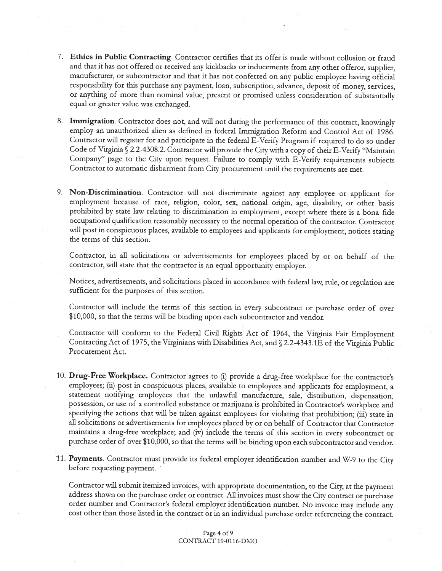- 7. Ethics in Public Contracting. Contractor certifies that its offer is made without collusion or fraud and that it has not offered or received any kickbacks or inducements from any other offeror, supplier, manufacturer, or subcontractor and that it has not conferred on any public employee having official responsibility for this purchase any payment, loan, subscription, advance, deposit of money, services, or anything of more than nominal value, present or promised unless consideration of substantially equal or greater value was exchanged.
- 8. Immigration. Contractor does not, and will not during the performance of this contract, knowingly employ an unauthorized alien as defined in federal Immigration Reform and Control Act of 1986. Contractor will register for and participate in the federal E-Verify Program if required to do so under Code of Virginia § 2.2-4308.2. Contractor will provide the City with a copy of their E-Verify "Maintain Company" page to the City upon request. Failure to comply with E-Verify requirements subjects Contractor to automatic disbarment from City procurement until the requirements are met.
- 9. Non-Discrimination. Contractor will not discriminate against any employee or applicant for employment because of race, religion, color, sex, national origin, age, disability, or other basis prohibited by state law relating to discrimination in employment, except where there is <sup>a</sup> bona fide occupational qualification reasonably necessary to the normal operation of the contractor. Contractor will post in conspicuous <sup>p</sup>laces, available to employees and applicants for employment, notices stating the terms of this section.

Contractor, in all solicitations or advertisements for employees <sup>p</sup>laced by or on behalf of the contractor, will state that the contractor is an equa<sup>l</sup> opportunity employer.

Notices, advertisements, and solicitations placed in accordance with federal law, rule, or regulation are sufficient for the purposes of this section.

Contractor will include the terms of this section in every subcontract or purchase order of over \$10,000, so that the terms will be binding upon each subcontractor and vendor.

Contractor will conform to the Federal Civil Rights Act of 1964, the Virginia Fair Employment Contracting Act of 1975, the Virginians with Disabilities Act, and  $\sqrt{2.2-4343.1E}$  of the Virginia Public Procurement Act.

- 10. Drug-Free Workplace. Contractor agrees to (i) provide <sup>a</sup> drug-free workplace for the contractor's employees; (ii) post in conspicuous <sup>p</sup>laces, available to employees and applicants for employment, <sup>a</sup> statement notifying employees that the unlawful manufacture, sale, distribution, dispensation, possession, or use of <sup>a</sup> controlled substance or marijuana is prohibited in Contractor's workplace and specifying the actions that will be taken against employees for violating that prohibition; (iii) state in all solicitations or advertisements for employees <sup>p</sup>laced by or on behalf of Contractor that Contractor maintains <sup>a</sup> drug-free workplace; and (iv) include the terms of this section in every subcontract or purchase order of over \$10,000, so that the terms will be binding upon each subcontractor and vendor.
- 11. Payments. Contractor must provide its federal employer identification number and W-9 to the City before requesting payment.

Contractor will submit itemized invoices, with appropriate documentation, to the City, at the payment address shown on the purchase order or contract. All invoices must show the City contract or purchase order number and Contractor's federal employer identification number. No invoice may include any cost other than those listed in the contract or in an individual purchase order referencing the contract.

> Page 4 of 9 CONTRACT 19-0116-DMO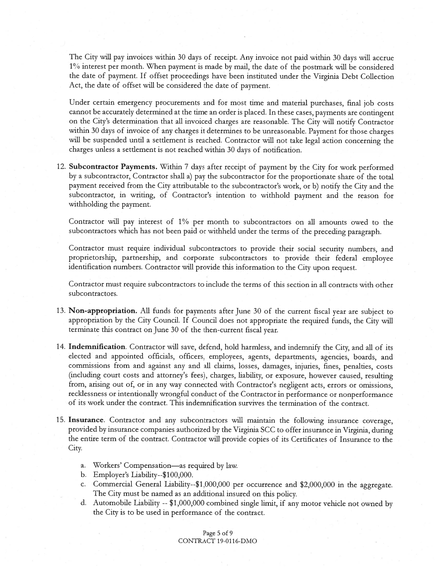The City will pay invoices within <sup>30</sup> days of receipt. Any invoice not paid within <sup>30</sup> days will accrue l% interest per month. When paymen<sup>t</sup> is made by mail, the date of the postmark will be considered the date of payment. If offset proceedings have been instituted under the Virginia Debt Collection Act, the date of offset will be considered the date of payment.

Under certain emergency procurements and for most time and material purchases, final job costs cannot be accurately determined at the time an order is <sup>p</sup>laced. In these cases, payments are contingent on the City's determination that all invoiced charges are reasonable. The City will notify Contractor within <sup>30</sup> days of invoice of any charges it determines to be unreasonable. Payment for those charges will be suspended until a settlement is reached. Contractor will not take legal action concerning the charges unless <sup>a</sup> settlement is not reached within 30 days of notification.

12. Subcontractor Payments. Within <sup>7</sup> days after receipt of paymen<sup>t</sup> by the City for work performed by <sup>a</sup> subcontractor, Contractor shall a) pay the subcontractor for the proportionate share of the total paymen<sup>t</sup> received from the City attributable to the subcontractor's work, or b) notify the City and the subcontractor, in writing, of Contractor's intention to withhold paymen<sup>t</sup> and the reason for withholding the payment.

Contractor will pay interest of 1% per month to subcontractors on all amounts owed to the subcontractors which has not been paid or withheld under the terms of the preceding paragraph.

Contractor must require individual subcontractors to provide their social security numbers, and proprietorship, partnership, and corporate subcontractors to provide their federal employee identification numbers. Contractor will provide this information to the City upon request.

Contractor must require subcontractors to include the terms of this section in all contracts with other subcontractors.

- 13. Non-appropriation. All funds for payments after June <sup>30</sup> of the current fiscal year are subject to appropriation by the City Council. If Council does not appropriate the required funds, the City will terminate this contract on June 30 of the then-current fiscal year.
- 14. Indemnification. Contractor will save, defend, hold harmless, and indemnify the City, and all of its elected and appointed officials, officers, employees, agents, departments, agencies, boards, and commissions from and against any and all claims, losses, damages, injuries, fines, penalties, costs (including court costs and attorney's fees), charges, liability, or exposure, however caused, resulting from, arising out of, or in any way connected with Contractor's negligent acts, errors or omissions, recklessness or intentionally wrongful conduct of the Contractor in performance or nonperformance of its work under the contract. This indemnification survives the termination of the contract.
- 15. Insurance. Contractor and any subcontractors will maintain the following insurance coverage, provided by insurance companies authorized by the Virginia SCC to offer insurance in Virginia, during the entire term of the contract. Contractor will provide copies of its Certificates of Insurance to the City.
	- a. Workers' Compensation—as required by law.
	- b. Employer's Liabiity--\$100,000.
	- c. Commercial General Liability--\$1,000,000 per occurrence and \$2,000,000 in the aggregate. The City must be named as an additional insured on this policy.
	- d. Automobile Liability --\$1,000,000 combined single limit, if any motor vehicle not owned by the City is to be used in performance of the contract.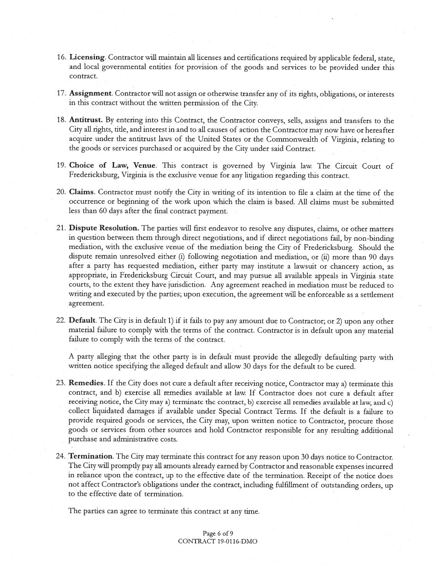- 16. Licensing. Contractor will maintain all licenses and certifications required by applicable federal, state, and local governmental entities for provision of the goods and services to be provided under this contract.
- 17. Assignment. Contractor will not assign or otherwise transfer any of its rights, obligations, or interests in this contract without the written permission of the City.
- 18. Antitrust. By entering into this Contract, the Contractor conveys, sells, assigns and transfers to the City all rights, title, and interest in and to all causes of action the Contractor may now have or hereafter acquire under the antitrust laws of the United States or the Commonwealth of Virginia, relating to the goods or services purchased or acquired by the City under said Contract.
- 19. Choice of Law, Venue. This contract is governed by Virginia law. The Circuit Court of Fredericksburg, Virginia is the exclusive venue for any litigation regarding this contract.
- 20. Claims. Contractor must notify the City in writing of its intention to file <sup>a</sup> claim at the time of the occurrence or beginning of the work upon which the claim is based. All claims must be submitted less than 60 days after the final contract payment.
- 21. Dispute Resolution. The parties will first endeavor to resolve any disputes, claims, or other matters in question between them through direct negotiations, and if direct negotiations fail, by non-binding mediation, with the exclusive venue of the mediation being the City of Fredericksburg. Should the dispute remain unresolved either (i) following negotiation and mediation, or (ii) more than <sup>90</sup> days after <sup>a</sup> party has requested mediation, either party may institute <sup>a</sup> lawsuit or chancery action, as appropriate, in Fredericksburg Circuit Court, and may pursue all available appeals in Virginia state courts, to the extent they have jurisdiction. Any agreemen<sup>t</sup> reached in mediation must be reduced to writing and executed by the parties; upon execution, the agreemen<sup>t</sup> will be enforceable as <sup>a</sup> settlement agreement.
- 22. Default. The City is in default 1) if it fails to pay any amount due to Contractor; or 2) upon any other material failure to comply with the terms of the contract. Contractor is in default upon any material failure to comply with the terms of the contract.

<sup>A</sup> party alleging that the other party is in default must provide the allegedly defaulting party with written notice specifying the alleged default and allow 30 days for the default to be cured.

- 23. Remedies. If the City does not cure <sup>a</sup> default after receiving notice, Contractor may a) terminate this contract, and b) exercise all remedies available at law. If Contractor does not cure <sup>a</sup> default after receiving notice, the City may a) terminate the contract, b) exercise all remedies available at law, and c) collect liquidated damages if available under Special Contract Terms. If the default is <sup>a</sup> failure to provide required goods or services, the City may, upon written notice to Contractor, procure those goods or services from other sources and hold Contractor responsible for any resulting additional purchase and administrative costs.
- 24. Termination. The City may terminate this contract for any reason upon <sup>30</sup> days notice to Contractor. The City will promptly pay all amounts already earned by Contractor and reasonable expenses incurred in reliance upon the contract, up to the effective date of the termination. Receipt of the notice does not affect Contractor's obligations under the contract, including fulfillment of outstanding orders, up to the effective date of termination.

The parties can agree to terminate this contract at any time.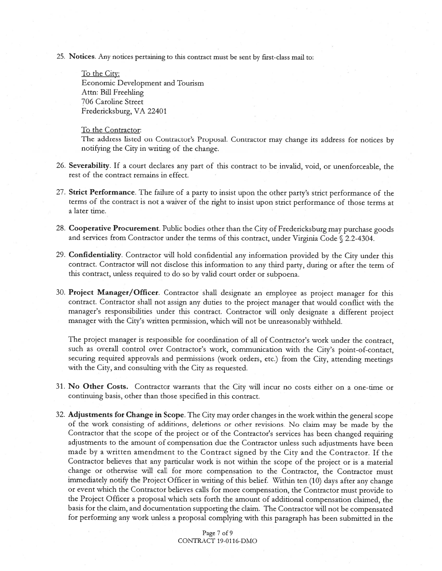25. Notices. Any notices pertaining to this contract must be sent by first-class mail to:

To the City: Economic Development and Tourism Attn: Bill Freehling 706 Caroline Street Fredericksburg, VA 22401

#### To the Contractor:

The address listed on Contractor's Proposal. Contractor may change its address for notices by notifying the City in writing of the change.

- 26. Severability. If <sup>a</sup> court declares any par<sup>t</sup> of this contract to be invalid, void, or unenforceable, the rest of the contract remains in effect.
- 27. Strict Performance. The failure of a party to insist upon the other party's strict performance of the terms of the contract is not <sup>a</sup> waiver of the right to insist upon strict performance of those terms at <sup>a</sup> later time.
- 28. Cooperative Procurement. Public bodies other than the City of Fredericksburg may purchase goods and services from Contractor under the terms of this contract, under Virginia Code  $\sqrt{2.2-4304}$ .
- 29. Confidentiality. Contractor will hold confidential any information provided by the City under this contract. Contractor will not disclose this information to any third party, during or after the term of this contract, unless required to do so by valid court order or subpoena.
- 30. Project Manager/Officer. Contractor shall designate an employee as project manager for this contract. Contractor shall not assign any duties to the project manager that would conflict with the manager's responsibilities under this contract. Contractor will only designate <sup>a</sup> different project manager with the City's written permission, which will not be unreasonably withheld.

The project manager is responsible for coordination of all of Contractor's work under the contract, such as overall control over Contractor's work, communication with the City's point-of-contact, securing required approvals and permissions (work orders, etc.) from the City, attending meetings with the City, and consulting with the City as requested.

- 31. No Other Costs. Contractor warrants that the City will incur no costs either on <sup>a</sup> one-time or continuing basis, other than those specified in this contract.
- 32. Adjustments for Change in Scope. The City may order changes in the work within the genera<sup>l</sup> scope of the work consisting of additions, deletions or other revisions. No claim may be made by the Contractor that the scope of the project or of the Contractor's services has been changed requiring adjustments to the amount of compensation due the Contractor unless such adjustments have been made by <sup>a</sup> written amendment to the Contract signed by the City and the Contractor. If the Contractor believes that any particular work is not within the scope of the project or is <sup>a</sup> material change or otherwise will call for more compensation to the Contractor, the Contractor must immediately notify the Project Officer in writing of this belief. Within ten (10) days after any change or event which the Contractor believes calls for more compensation, the Contractor must provide to the Project Officer <sup>a</sup> proposa<sup>l</sup> which sets forth the amount of additional compensation claimed, the basis for the claim, and documentation supporting the claim. The Contractor will not be compensated for performing any work unless <sup>a</sup> proposa<sup>l</sup> complying with this paragrap<sup>h</sup> has been submitted in the

Page 7 of 9 CONTRACT 19-0116-DMO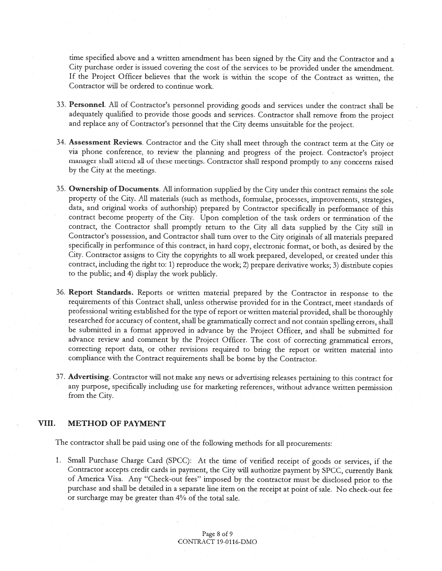time specified above and <sup>a</sup> written amendment has been signed by the City and the Contractor and <sup>a</sup> City purchase order is issued covering the cost of the services to be provided under the amendment. If the Project Officer believes that the work is within the scope of the Contract as written, the Contractor will be ordered to continue work.

- 33. Personnel. All of Contractor's personnel providing goods and services under the contract shall be adequately qualified to provide those goods and services. Contractor shall remove from the project and replace any of Contractor's personnel that the City deems unsuitable for the project.
- 34. Assessment Reviews. Contractor and the City shall meet through the contract term at the City or via <sup>p</sup>hone conference, to review the <sup>p</sup>lanning and progress of the project. Contractor's project manager shall attend all of these meetings. Contractor shall respond promptly to any concerns raised by the City at the meetings.
- 35. Ownership of Documents. All information supplied by the City under this contract remains the sole property of the City. All materials (such as methods, formulae, processes, improvements, strategies, data, and original works of authorship) prepared by Contractor specifically in performance of this contract become property of the City. Upon completion of the task orders or termination of the contract, the Contractor shall promptly return to the City all data supplied by the City still in Contractor's possession, and Contractor shall turn over to the City originals of all materials prepared specifically in performance of this contract, in hard copy, electronic format, or both, as desired by the City. Contractor assigns to City the copyrights to all work prepared, developed, or created under this contract, including the right to: 1) reproduce the work; 2) prepare derivative works; 3) distribute copies to the public; and 4) display the work publicly.
- 36. Report Standards. Reports or written material prepared by the Contractor in response to the requirements of this Contract shall, unless otherwise provided for in the Contract, meet standards of professional writing established for the type of report or written material provided, shall be thoroughly researched for accuracy of content, shall be grammatically correct and not contain spelling errors, shall be submitted in <sup>a</sup> format approved in advance by the Project Officer, and shall be submitted for advance review and comment by the Project Officer. The cost of correcting grammatical errors, correcting report data, or other revisions required to bring the report or written material into compliance with the Contract requirements shall be borne by the Contractor.
- 37. Advertising. Contractor will not make any news or advertising releases pertaining to this contract for any purpose, specifically including use for marketing references, without advance written permission from the City.

#### VIII. METHOD OF PAYMENT

The contractor shall be paid using one of the following methods for all procurements:

1. Small Purchase Charge Card (SPCC): At the time of verified receipt of goods or services, if the Contractor accepts credit cards in payment, the City will authorize payment by SPCC, currently Bank of America Visa. Any "Check-out fees" imposed by the contractor must be disclosed prior to the purchase and shall be detailed in <sup>a</sup> separate line item on the receipt at point of sale. No check-out fee or surcharge may be greater than 4% of the total sale.